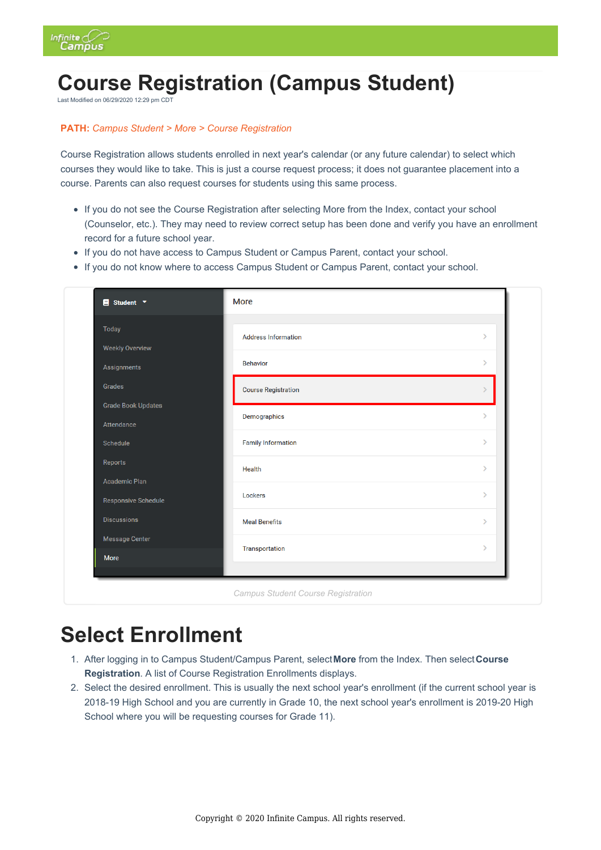

# **Course Registration (Campus Student)**

Last Modified on 06/29/2020 12:29 pm CDT

#### **PATH:** *Campus Student > More > Course Registration*

Course Registration allows students enrolled in next year's calendar (or any future calendar) to select which courses they would like to take. This is just a course request process; it does not guarantee placement into a course. Parents can also request courses for students using this same process.

- If you do not see the Course Registration after selecting More from the Index, contact your school (Counselor, etc.). They may need to review correct setup has been done and verify you have an enrollment record for a future school year.
- If you do not have access to Campus Student or Campus Parent, contact your school.
- If you do not know where to access Campus Student or Campus Parent, contact your school.

| <b>Today</b>              | <b>Address Information</b> | Ŷ.            |
|---------------------------|----------------------------|---------------|
| <b>Weekly Overview</b>    |                            |               |
| Assignments               | <b>Behavior</b>            | $\rightarrow$ |
| Grades                    | <b>Course Registration</b> | $\mathcal{E}$ |
| <b>Grade Book Updates</b> | Demographics               | $\mathcal{P}$ |
| Attendance                |                            |               |
| Schedule                  | <b>Family Information</b>  | $\mathcal{P}$ |
| Reports                   | Health                     | $\mathcal{P}$ |
| <b>Academic Plan</b>      |                            |               |
| Responsive Schedule       | Lockers                    | $\mathcal{P}$ |
| <b>Discussions</b>        | <b>Meal Benefits</b>       | $\mathcal{P}$ |
| Message Center            | Transportation             | $\rightarrow$ |
| More                      |                            |               |

# **Select Enrollment**

- 1. After logging in to Campus Student/Campus Parent, select**More** from the Index. Then select**Course Registration**. A list of Course Registration Enrollments displays.
- 2. Select the desired enrollment. This is usually the next school year's enrollment (if the current school year is 2018-19 High School and you are currently in Grade 10, the next school year's enrollment is 2019-20 High School where you will be requesting courses for Grade 11).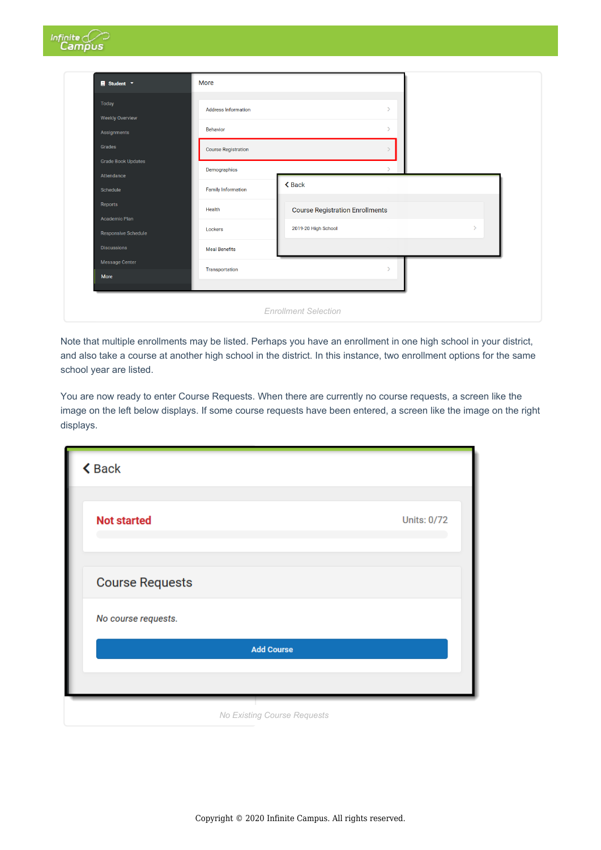| $\blacksquare$ Student $\blacktriangledown$ | More                       |                                        |
|---------------------------------------------|----------------------------|----------------------------------------|
| <b>Today</b><br><b>Weekly Overview</b>      | <b>Address Information</b> | $\rightarrow$                          |
| Assignments                                 | <b>Behavior</b>            | $\rightarrow$                          |
| Grades                                      | <b>Course Registration</b> |                                        |
| <b>Grade Book Updates</b>                   | Demographics               | N                                      |
| Attendance<br>Schedule                      | <b>Family Information</b>  | <b>くBack</b>                           |
| Reports                                     | Health                     | <b>Course Registration Enrollments</b> |
| Academic Plan<br><b>Responsive Schedule</b> | Lockers                    | 2019-20 High School<br>$\rightarrow$   |
| <b>Discussions</b>                          | <b>Meal Benefits</b>       |                                        |
| <b>Message Center</b>                       | Transportation             |                                        |

Note that multiple enrollments may be listed. Perhaps you have an enrollment in one high school in your district, and also take a course at another high school in the district. In this instance, two enrollment options for the same school year are listed.

You are now ready to enter Course Requests. When there are currently no course requests, a screen like the image on the left below displays. If some course requests have been entered, a screen like the image on the right displays.

| <b>くBack</b>           |                    |
|------------------------|--------------------|
| <b>Not started</b>     | <b>Units: 0/72</b> |
| <b>Course Requests</b> |                    |
| No course requests.    |                    |
| <b>Add Course</b>      |                    |
|                        |                    |

*No Existing Course Requests*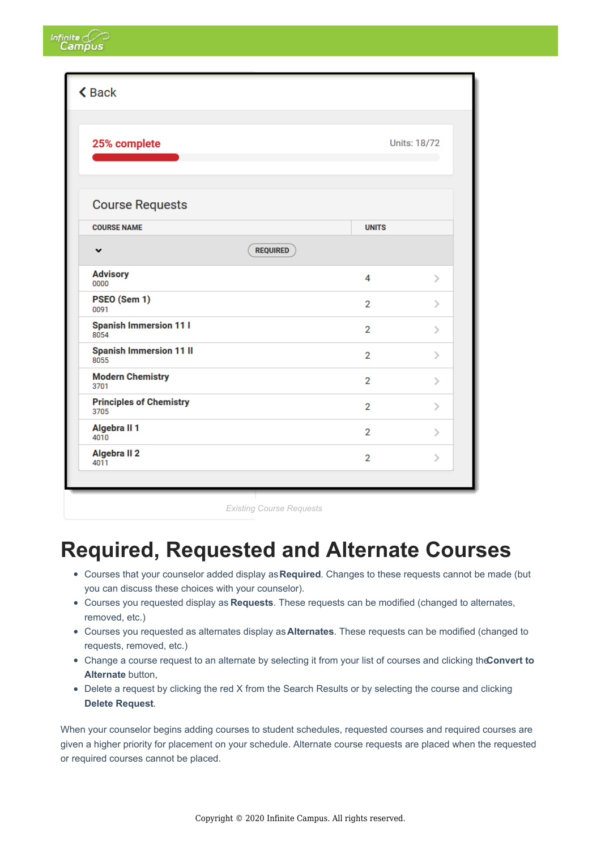| <b>くBack</b>                           |                |                     |
|----------------------------------------|----------------|---------------------|
| 25% complete                           |                | <b>Units: 18/72</b> |
| <b>Course Requests</b>                 |                |                     |
| <b>COURSE NAME</b>                     | <b>UNITS</b>   |                     |
| <b>REQUIRED</b><br>v                   |                |                     |
| <b>Advisory</b><br>0000                | 4              | $\mathcal{P}$       |
| PSEO (Sem 1)<br>0091                   | $\overline{2}$ | $\mathcal{P}$       |
| <b>Spanish Immersion 11 I</b><br>8054  | $\overline{2}$ | $\mathcal{P}$       |
| <b>Spanish Immersion 11 II</b><br>8055 | $\overline{2}$ | $\mathcal{P}$       |
| <b>Modern Chemistry</b><br>3701        | $\overline{2}$ | $\mathcal{P}$       |
| <b>Principles of Chemistry</b><br>3705 | $\overline{2}$ | $\mathbf{\hat{}}$   |
| Algebra II 1<br>4010                   | $\overline{2}$ | $\mathcal{P}$       |
| Algebra II <sub>2</sub><br>4011        | $\overline{2}$ | У                   |

Infinite<sub>C</sub>

*Existing Course Requests*

### **Required, Requested and Alternate Courses**

- Courses that your counselor added display as**Required**. Changes to these requests cannot be made (but you can discuss these choices with your counselor).
- Courses you requested display as **Requests**. These requests can be modified (changed to alternates, removed, etc.)
- Courses you requested as alternates display as**Alternates**. These requests can be modified (changed to requests, removed, etc.)
- Change a course request to an alternate by selecting it from your list of courses and clicking the**Convert to Alternate** button,
- Delete a request by clicking the red X from the Search Results or by selecting the course and clicking **Delete Request**.

When your counselor begins adding courses to student schedules, requested courses and required courses are given a higher priority for placement on your schedule. Alternate course requests are placed when the requested or required courses cannot be placed.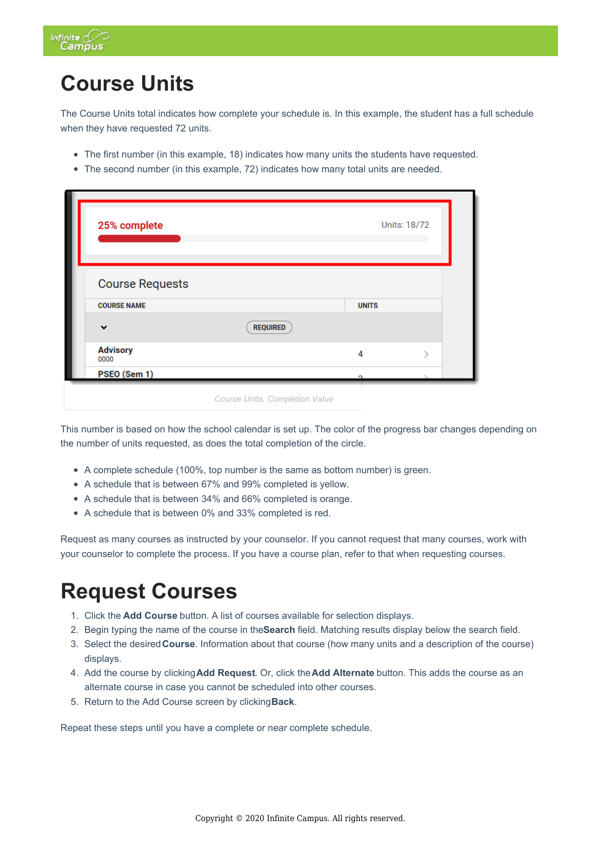

# **Course Units**

The Course Units total indicates how complete your schedule is. In this example, the student has a full schedule when they have requested 72 units.

- The first number (in this example, 18) indicates how many units the students have requested.
- The second number (in this example, 72) indicates how many total units are needed.

| 25% complete            |                 |              | Units: 18/72 |
|-------------------------|-----------------|--------------|--------------|
|                         |                 |              |              |
|                         |                 |              |              |
| <b>Course Requests</b>  |                 |              |              |
|                         |                 |              |              |
| <b>COURSE NAME</b>      |                 | <b>UNITS</b> |              |
| $\checkmark$            | <b>REQUIRED</b> |              |              |
| <b>Advisory</b><br>0000 |                 | 4            |              |

This number is based on how the school calendar is set up. The color of the progress bar changes depending on the number of units requested, as does the total completion of the circle.

- A complete schedule (100%, top number is the same as bottom number) is green.
- A schedule that is between 67% and 99% completed is yellow.
- A schedule that is between 34% and 66% completed is orange.
- A schedule that is between 0% and 33% completed is red.

Request as many courses as instructed by your counselor. If you cannot request that many courses, work with your counselor to complete the process. If you have a course plan, refer to that when requesting courses.

### **Request Courses**

- 1. Click the **Add Course** button. A list of courses available for selection displays.
- 2. Begin typing the name of the course in the**Search** field. Matching results display below the search field.
- 3. Select the desired**Course**. Information about that course (how many units and a description of the course) displays.
- 4. Add the course by clicking**Add Request**. Or, click the**Add Alternate** button. This adds the course as an alternate course in case you cannot be scheduled into other courses.
- 5. Return to the Add Course screen by clicking**Back**.

Repeat these steps until you have a complete or near complete schedule.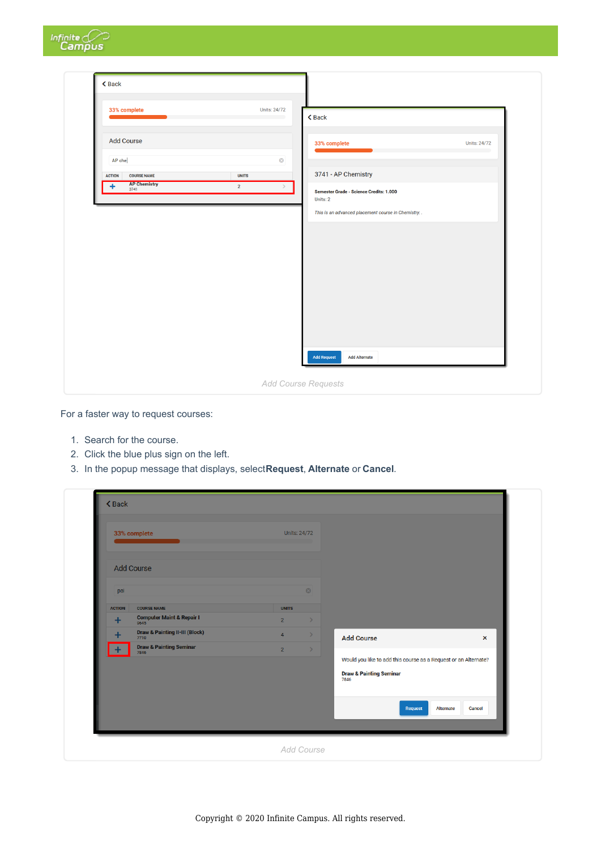| Infinite <i>C</i>                                                       |                                                 |                                                      |                     |
|-------------------------------------------------------------------------|-------------------------------------------------|------------------------------------------------------|---------------------|
| $\triangle$ Back                                                        |                                                 |                                                      |                     |
| 33% complete                                                            | Units: 24/72                                    |                                                      |                     |
| <b>Add Course</b>                                                       |                                                 | <b>くBack</b><br>33% complete                         | <b>Units: 24/72</b> |
| AP che                                                                  | $\circledcirc$                                  | 3741 - AP Chemistry                                  |                     |
| <b>COURSE NAME</b><br><b>ACTION</b><br><b>AP Chemistry</b><br>٠<br>3741 | <b>UNITS</b><br>$\overline{2}$<br>$\rightarrow$ | Semester Grade - Science Credits: 1.000<br>Units: 2  |                     |
|                                                                         |                                                 | This is an advanced placement course in Chemistry. . |                     |
|                                                                         |                                                 |                                                      |                     |
|                                                                         |                                                 |                                                      |                     |
|                                                                         |                                                 |                                                      |                     |
|                                                                         |                                                 |                                                      |                     |
|                                                                         |                                                 | <b>Add Request</b><br><b>Add Alternate</b>           |                     |
|                                                                         |                                                 | Add Course Requests                                  |                     |

For a faster way to request courses:

- 1. Search for the course.
- 2. Click the blue plus sign on the left.
- 3. In the popup message that displays, select**Request**, **Alternate** or **Cancel**.

|                      | 33% complete                                 | <b>Units: 24/72</b>             |                                                                 |                           |
|----------------------|----------------------------------------------|---------------------------------|-----------------------------------------------------------------|---------------------------|
|                      | <b>Add Course</b>                            |                                 |                                                                 |                           |
|                      |                                              | $\odot$                         |                                                                 |                           |
| pai<br><b>ACTION</b> | <b>COURSE NAME</b>                           | <b>UNITS</b>                    |                                                                 |                           |
| ÷                    | <b>Computer Maint &amp; Repair I</b><br>9645 | $2^{\circ}$<br>$\rightarrow$    |                                                                 |                           |
| $\ddot{}$            | Draw & Painting II-III (Block)               | $\overline{4}$<br>$\rightarrow$ | <b>Add Course</b>                                               | $\boldsymbol{\mathsf{x}}$ |
| $\ddot{}$            | Draw & Painting Seminar                      | $\overline{2}$<br>$\rightarrow$ | Would you like to add this course as a Request or an Alternate? |                           |
|                      |                                              |                                 | <b>Draw &amp; Painting Seminar</b><br>7846                      |                           |
|                      |                                              |                                 | <b>Request</b>                                                  | Alternate<br>Cancel       |